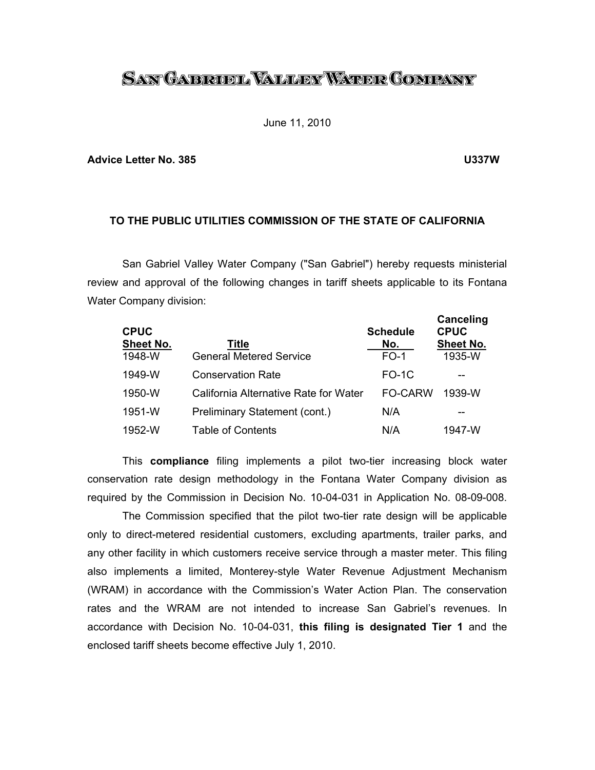# <u>San Gabrobl Waller Water Company</u>

June 11, 2010

#### **Advice Letter No. 385 U337W**

# **TO THE PUBLIC UTILITIES COMMISSION OF THE STATE OF CALIFORNIA**

 San Gabriel Valley Water Company ("San Gabriel") hereby requests ministerial review and approval of the following changes in tariff sheets applicable to its Fontana Water Company division:

| <b>CPUC</b><br><b>Sheet No.</b><br>1948-W | Title<br><b>General Metered Service</b> | <b>Schedule</b><br>No.<br>$FO-1$ | Canceling<br><b>CPUC</b><br><b>Sheet No.</b><br>1935-W |
|-------------------------------------------|-----------------------------------------|----------------------------------|--------------------------------------------------------|
| 1949-W                                    | <b>Conservation Rate</b>                | $FO-1C$                          | --                                                     |
| 1950-W                                    | California Alternative Rate for Water   | <b>FO-CARW</b>                   | 1939-W                                                 |
| 1951-W                                    | Preliminary Statement (cont.)           | N/A                              | --                                                     |
| 1952-W                                    | Table of Contents                       | N/A                              | 1947-W                                                 |

 This **compliance** filing implements a pilot two-tier increasing block water conservation rate design methodology in the Fontana Water Company division as required by the Commission in Decision No. 10-04-031 in Application No. 08-09-008.

 The Commission specified that the pilot two-tier rate design will be applicable only to direct-metered residential customers, excluding apartments, trailer parks, and any other facility in which customers receive service through a master meter. This filing also implements a limited, Monterey-style Water Revenue Adjustment Mechanism (WRAM) in accordance with the Commission's Water Action Plan. The conservation rates and the WRAM are not intended to increase San Gabriel's revenues. In accordance with Decision No. 10-04-031, **this filing is designated Tier 1** and the enclosed tariff sheets become effective July 1, 2010.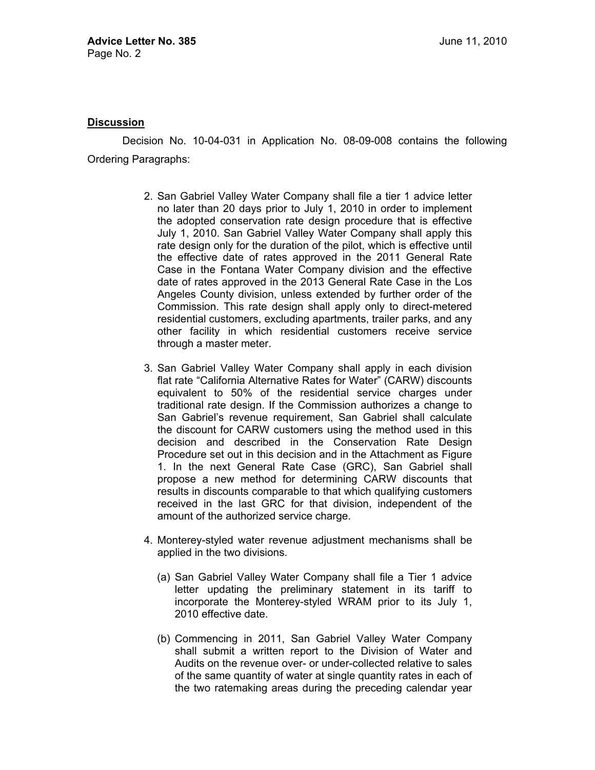## **Discussion**

 Decision No. 10-04-031 in Application No. 08-09-008 contains the following Ordering Paragraphs:

- 2. San Gabriel Valley Water Company shall file a tier 1 advice letter no later than 20 days prior to July 1, 2010 in order to implement the adopted conservation rate design procedure that is effective July 1, 2010. San Gabriel Valley Water Company shall apply this rate design only for the duration of the pilot, which is effective until the effective date of rates approved in the 2011 General Rate Case in the Fontana Water Company division and the effective date of rates approved in the 2013 General Rate Case in the Los Angeles County division, unless extended by further order of the Commission. This rate design shall apply only to direct-metered residential customers, excluding apartments, trailer parks, and any other facility in which residential customers receive service through a master meter.
- 3. San Gabriel Valley Water Company shall apply in each division flat rate "California Alternative Rates for Water" (CARW) discounts equivalent to 50% of the residential service charges under traditional rate design. If the Commission authorizes a change to San Gabriel's revenue requirement, San Gabriel shall calculate the discount for CARW customers using the method used in this decision and described in the Conservation Rate Design Procedure set out in this decision and in the Attachment as Figure 1. In the next General Rate Case (GRC), San Gabriel shall propose a new method for determining CARW discounts that results in discounts comparable to that which qualifying customers received in the last GRC for that division, independent of the amount of the authorized service charge.
- 4. Monterey-styled water revenue adjustment mechanisms shall be applied in the two divisions.
	- (a) San Gabriel Valley Water Company shall file a Tier 1 advice letter updating the preliminary statement in its tariff to incorporate the Monterey-styled WRAM prior to its July 1, 2010 effective date.
	- (b) Commencing in 2011, San Gabriel Valley Water Company shall submit a written report to the Division of Water and Audits on the revenue over- or under-collected relative to sales of the same quantity of water at single quantity rates in each of the two ratemaking areas during the preceding calendar year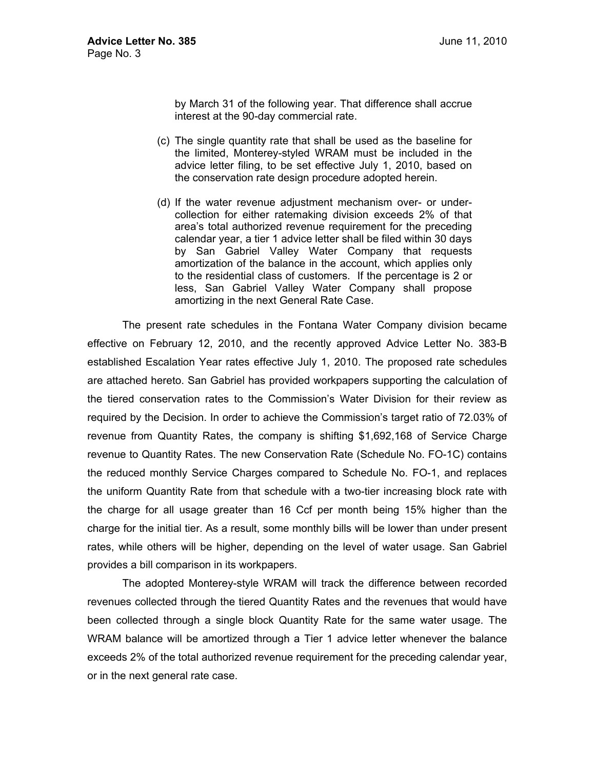by March 31 of the following year. That difference shall accrue interest at the 90-day commercial rate.

- (c) The single quantity rate that shall be used as the baseline for the limited, Monterey-styled WRAM must be included in the advice letter filing, to be set effective July 1, 2010, based on the conservation rate design procedure adopted herein.
- (d) If the water revenue adjustment mechanism over- or undercollection for either ratemaking division exceeds 2% of that area's total authorized revenue requirement for the preceding calendar year, a tier 1 advice letter shall be filed within 30 days by San Gabriel Valley Water Company that requests amortization of the balance in the account, which applies only to the residential class of customers. If the percentage is 2 or less, San Gabriel Valley Water Company shall propose amortizing in the next General Rate Case.

 The present rate schedules in the Fontana Water Company division became effective on February 12, 2010, and the recently approved Advice Letter No. 383-B established Escalation Year rates effective July 1, 2010. The proposed rate schedules are attached hereto. San Gabriel has provided workpapers supporting the calculation of the tiered conservation rates to the Commission's Water Division for their review as required by the Decision. In order to achieve the Commission's target ratio of 72.03% of revenue from Quantity Rates, the company is shifting \$1,692,168 of Service Charge revenue to Quantity Rates. The new Conservation Rate (Schedule No. FO-1C) contains the reduced monthly Service Charges compared to Schedule No. FO-1, and replaces the uniform Quantity Rate from that schedule with a two-tier increasing block rate with the charge for all usage greater than 16 Ccf per month being 15% higher than the charge for the initial tier. As a result, some monthly bills will be lower than under present rates, while others will be higher, depending on the level of water usage. San Gabriel provides a bill comparison in its workpapers.

 The adopted Monterey-style WRAM will track the difference between recorded revenues collected through the tiered Quantity Rates and the revenues that would have been collected through a single block Quantity Rate for the same water usage. The WRAM balance will be amortized through a Tier 1 advice letter whenever the balance exceeds 2% of the total authorized revenue requirement for the preceding calendar year, or in the next general rate case.